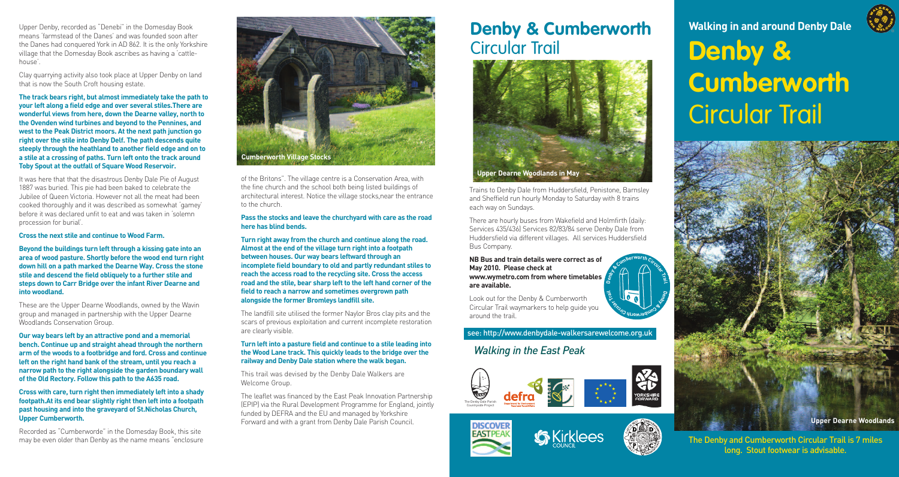Upper Denby, recorded as "Denebi" in the Domesday Book means 'farmstead of the Danes' and was founded soon after the Danes had conquered York in AD 862. It is the only Yorkshire village that the Domesday Book ascribes as having a 'cattlehouse'.

Clay quarrying activity also took place at Upper Denby on land that is now the South Croft housing estate.

**The track bears right, but almost immediately take the path to your left along a field edge and over several stiles.There are wonderful views from here, down the Dearne valley, north to the Ovenden wind turbines and beyond to the Pennines, and west to the Peak District moors. At the next path junction go right over the stile into Denby Delf. The path descends quite steeply through the heathland to another field edge and on to a stile at a crossing of paths. Turn left onto the track around Toby Spout at the outfall of Square Wood Reservoir.**

It was here that that the disastrous Denby Dale Pie of August 1887 was buried. This pie had been baked to celebrate the Jubilee of Queen Victoria. However not all the meat had been cooked thoroughly and it was described as somewhat 'gamey' before it was declared unfit to eat and was taken in 'solemn procession for burial'.

### **Cross the next stile and continue to Wood Farm.**

**Beyond the buildings turn left through a kissing gate into an area of wood pasture. Shortly before the wood end turn right down hill on a path marked the Dearne Way. Cross the stone stile and descend the field obliquely to a further stile and steps down to Carr Bridge over the infant River Dearne and into woodland.**

These are the Upper Dearne Woodlands, owned by the Wavin group and managed in partnership with the Upper Dearne Woodlands Conservation Group.

**Our way bears left by an attractive pond and a memorial bench. Continue up and straight ahead through the northern arm of the woods to a footbridge and ford. Cross and continue left on the right hand bank of the stream, until you reach a narrow path to the right alongside the garden boundary wall of the Old Rectory. Follow this path to the A635 road.**

**Cross with care, turn right then immediately left into a shady footpath.At its end bear slightly right then left into a footpath past housing and into the graveyard of St.Nicholas Church, Upper Cumberworth.**

Recorded as "Cumberworde" in the Domesday Book, this site may be even older than Denby as the name means "enclosure



of the Britons". The village centre is a Conservation Area, with the fine church and the school both being listed buildings of architectural interest. Notice the village stocks,near the entrance to the church.

### **Pass the stocks and leave the churchyard with care as the road here has blind bends.**

**Turn right away from the church and continue along the road. Almost at the end of the village turn right into a footpath between houses. Our way bears leftward through an incomplete field boundary to old and partly redundant stiles to reach the access road to the recycling site. Cross the access road and the stile, bear sharp left to the left hand corner of the field to reach a narrow and sometimes overgrown path alongside the former Bromleys landfill site.**

The landfill site utilised the former Naylor Bros clay pits and the scars of previous exploitation and current incomplete restoration are clearly visible.

### **Turn left into a pasture field and continue to a stile leading into the Wood Lane track. This quickly leads to the bridge over the railway and Denby Dale station where the walk began.**

This trail was devised by the Denby Dale Walkers are Welcome Group.

The leaflet was financed by the East Peak Innovation Partnership (EPIP) via the Rural Development Programme for England, jointly funded by DEFRA and the EU and managed by Yorkshire Forward and with a grant from Denby Dale Parish Council.

### **Denby & Cumberworth** Circular Trail



Trains to Denby Dale from Huddersfield, Penistone, Barnsley and Sheffield run hourly Monday to Saturday with 8 trains each way on Sundays.

There are hourly buses from Wakefield and Holmfirth (daily: Services 435/436) Services 82/83/84 serve Denby Dale from Huddersfield via different villages. All services Huddersfield Bus Company.

**NB Bus and train details were correct as of May 2010. Please check at www.wymetro.com from where timetables are available.**

Look out for the Denby & Cumberworth Circular Trail waymarkers to help guide you around the trail.

### see: http://www.denbydale-walkersarewelcome.org.uk

### *Walking in the East Peak*









# **Denby & Cumberworth** Circular Trail **Walking in and around Denby Dale**



The Denby and Cumberworth Circular Trail is 7 miles long. Stout footwear is advisable.